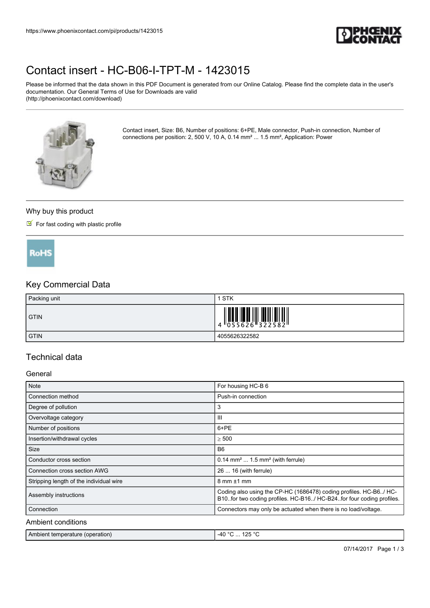

# [Contact insert - HC-B06-I-TPT-M - 1423015](https://www.phoenixcontact.com/pi/products/1423015)

Please be informed that the data shown in this PDF Document is generated from our Online Catalog. Please find the complete data in the user's documentation. Our General Terms of Use for Downloads are valid (http://phoenixcontact.com/download)



Contact insert, Size: B6, Number of positions: 6+PE, Male connector, Push-in connection, Number of connections per position: 2, 500 V, 10 A, 0.14 mm² ... 1.5 mm², Application: Power

#### Why buy this product

# $\blacksquare$  For fast coding with plastic profile



# Key Commercial Data

| Packing unit | STK                                                                                                                                                                                                                                                                                                                         |
|--------------|-----------------------------------------------------------------------------------------------------------------------------------------------------------------------------------------------------------------------------------------------------------------------------------------------------------------------------|
| <b>GTIN</b>  | $\begin{array}{c} 1 & 0 & 0 & 0 \\ 0 & 0 & 0 & 0 & 0 \\ 0 & 0 & 0 & 0 & 0 \\ 0 & 0 & 0 & 0 & 0 \\ 0 & 0 & 0 & 0 & 0 \\ 0 & 0 & 0 & 0 & 0 \\ 0 & 0 & 0 & 0 & 0 \\ 0 & 0 & 0 & 0 & 0 \\ 0 & 0 & 0 & 0 & 0 \\ 0 & 0 & 0 & 0 & 0 \\ 0 & 0 & 0 & 0 & 0 & 0 \\ 0 & 0 & 0 & 0 & 0 & 0 \\ 0 & 0 & 0 & 0 & 0 & 0 \\ 0 & 0 & 0 & 0 &$ |
| <b>GTIN</b>  | 4055626322582                                                                                                                                                                                                                                                                                                               |

## Technical data

### General

| Note                                    | For housing HC-B 6                                                                                                                        |
|-----------------------------------------|-------------------------------------------------------------------------------------------------------------------------------------------|
| Connection method                       | Push-in connection                                                                                                                        |
| Degree of pollution                     | 3                                                                                                                                         |
| Overvoltage category                    | $\mathbf{III}$                                                                                                                            |
| Number of positions                     | 6+PE                                                                                                                                      |
| Insertion/withdrawal cycles             | $\geq 500$                                                                                                                                |
| Size                                    | B <sub>6</sub>                                                                                                                            |
| Conductor cross section                 | $0.14$ mm <sup>2</sup> 1.5 mm <sup>2</sup> (with ferrule)                                                                                 |
| Connection cross section AWG            | 26  16 (with ferrule)                                                                                                                     |
| Stripping length of the individual wire | $8 \text{ mm} \pm 1 \text{ mm}$                                                                                                           |
| Assembly instructions                   | Coding also using the CP-HC (1686478) coding profiles. HC-B6./ HC-<br>B10for two coding profiles. HC-B16/ HC-B24for four coding profiles. |
| Connection                              | Connectors may only be actuated when there is no load/voltage.                                                                            |
| Ambient conditions                      |                                                                                                                                           |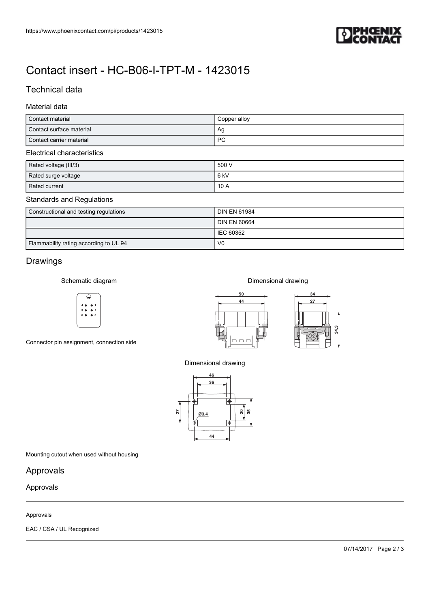

# [Contact insert - HC-B06-I-TPT-M - 1423015](https://www.phoenixcontact.com/pi/products/1423015)

# Technical data

## Material data

| Contact material         | Copper alloy |  |  |
|--------------------------|--------------|--|--|
| Contact surface material | Ag           |  |  |
| Contact carrier material | <b>PC</b>    |  |  |
| Flashdael akanashadisha  |              |  |  |

#### Electrical characteristics

| Rated voltage (III/3) | 500 V  |
|-----------------------|--------|
| Rated surge voltage   | l 6 kV |
| Rated current         | 10A    |

### Standards and Regulations

| Constructional and testing regulations | <b>DIN EN 61984</b> |
|----------------------------------------|---------------------|
|                                        | <b>DIN EN 60664</b> |
|                                        | <b>IEC 60352</b>    |
| Flammability rating according to UL 94 | V <sub>0</sub>      |

# Drawings

Schematic diagram



Connector pin assignment, connection side



Dimensional drawing



Dimensional drawing



Mounting cutout when used without housing

# Approvals

## Approvals

#### Approvals

EAC / CSA / UL Recognized